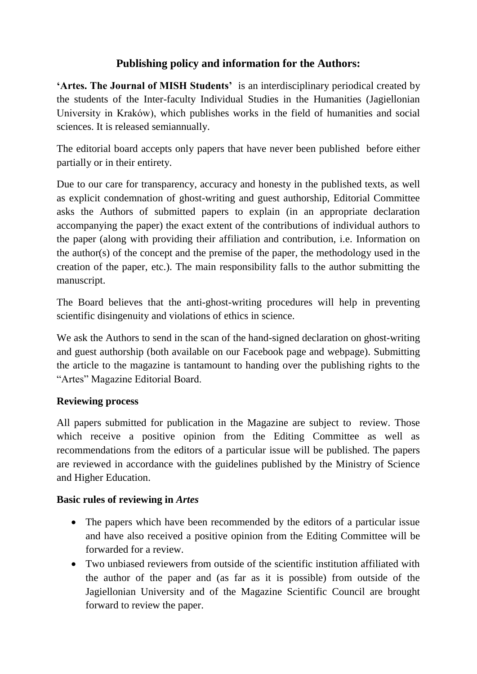# **Publishing policy and information for the Authors:**

**'Artes. The Journal of MISH Students'** is an interdisciplinary periodical created by the students of the Inter-faculty Individual Studies in the Humanities (Jagiellonian University in Kraków), which publishes works in the field of humanities and social sciences. It is released semiannually.

The editorial board accepts only papers that have never been published before either partially or in their entirety.

Due to our care for transparency, accuracy and honesty in the published texts, as well as explicit condemnation of ghost-writing and guest authorship, Editorial Committee asks the Authors of submitted papers to explain (in an appropriate declaration accompanying the paper) the exact extent of the contributions of individual authors to the paper (along with providing their affiliation and contribution, i.e. Information on the author(s) of the concept and the premise of the paper, the methodology used in the creation of the paper, etc.). The main responsibility falls to the author submitting the manuscript.

The Board believes that the anti-ghost-writing procedures will help in preventing scientific disingenuity and violations of ethics in science.

We ask the Authors to send in the scan of the hand-signed declaration on ghost-writing and guest authorship (both available on our Facebook page and webpage). Submitting the article to the magazine is tantamount to handing over the publishing rights to the "Artes" Magazine Editorial Board.

### **Reviewing process**

All papers submitted for publication in the Magazine are subject to review. Those which receive a positive opinion from the Editing Committee as well as recommendations from the editors of a particular issue will be published. The papers are reviewed in accordance with the guidelines published by the Ministry of Science and Higher Education.

### **Basic rules of reviewing in** *Artes*

- The papers which have been recommended by the editors of a particular issue and have also received a positive opinion from the Editing Committee will be forwarded for a review.
- Two unbiased reviewers from outside of the scientific institution affiliated with the author of the paper and (as far as it is possible) from outside of the Jagiellonian University and of the Magazine Scientific Council are brought forward to review the paper.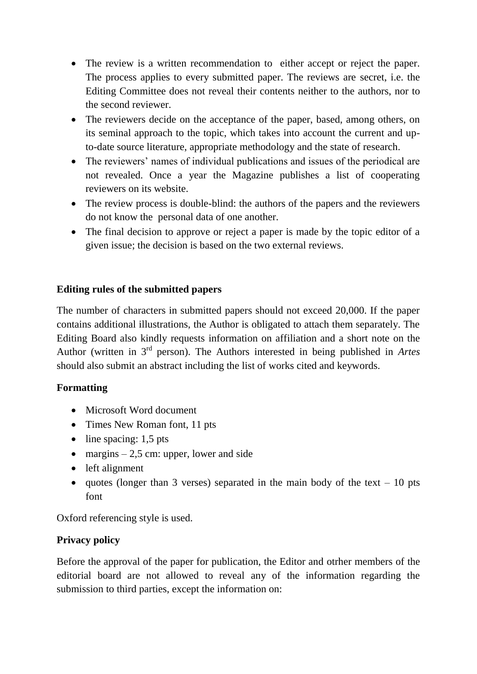- The review is a written recommendation to either accept or reject the paper. The process applies to every submitted paper. The reviews are secret, i.e. the Editing Committee does not reveal their contents neither to the authors, nor to the second reviewer.
- The reviewers decide on the acceptance of the paper, based, among others, on its seminal approach to the topic, which takes into account the current and upto-date source literature, appropriate methodology and the state of research.
- The reviewers' names of individual publications and issues of the periodical are not revealed. Once a year the Magazine publishes a list of cooperating reviewers on its website.
- The review process is double-blind: the authors of the papers and the reviewers do not know the personal data of one another.
- The final decision to approve or reject a paper is made by the topic editor of a given issue; the decision is based on the two external reviews.

### **Editing rules of the submitted papers**

The number of characters in submitted papers should not exceed 20,000. If the paper contains additional illustrations, the Author is obligated to attach them separately. The Editing Board also kindly requests information on affiliation and a short note on the Author (written in 3rd person). The Authors interested in being published in *Artes*  should also submit an abstract including the list of works cited and keywords.

## **Formatting**

- Microsoft Word document
- Times New Roman font, 11 pts
- $\bullet$  line spacing: 1,5 pts
- margins  $-2,5$  cm: upper, lower and side
- left alignment
- quotes (longer than 3 verses) separated in the main body of the text 10 pts font

Oxford referencing style is used.

## **Privacy policy**

Before the approval of the paper for publication, the Editor and otrher members of the editorial board are not allowed to reveal any of the information regarding the submission to third parties, except the information on: